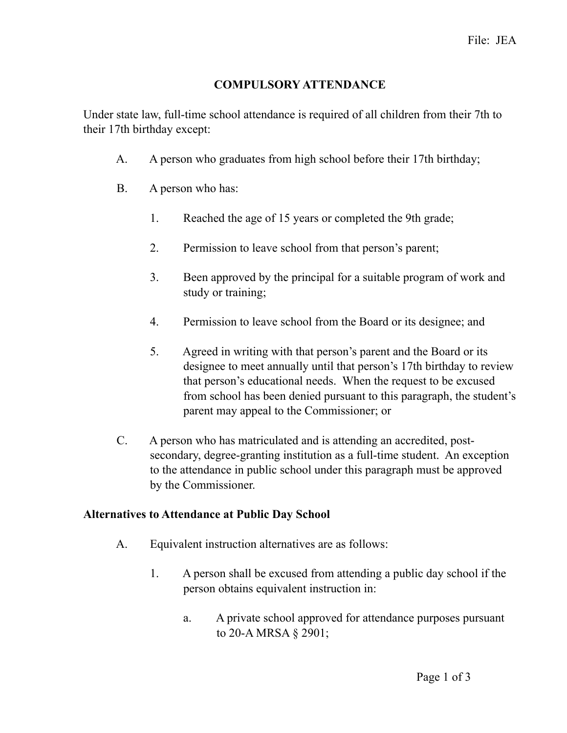## **COMPULSORY ATTENDANCE**

Under state law, full-time school attendance is required of all children from their 7th to their 17th birthday except:

- A. A person who graduates from high school before their 17th birthday;
- B. A person who has:
	- 1. Reached the age of 15 years or completed the 9th grade;
	- 2. Permission to leave school from that person's parent;
	- 3. Been approved by the principal for a suitable program of work and study or training;
	- 4. Permission to leave school from the Board or its designee; and
	- 5. Agreed in writing with that person's parent and the Board or its designee to meet annually until that person's 17th birthday to review that person's educational needs. When the request to be excused from school has been denied pursuant to this paragraph, the student's parent may appeal to the Commissioner; or
- C. A person who has matriculated and is attending an accredited, postsecondary, degree-granting institution as a full-time student. An exception to the attendance in public school under this paragraph must be approved by the Commissioner.

# **Alternatives to Attendance at Public Day School**

- A. Equivalent instruction alternatives are as follows:
	- 1. A person shall be excused from attending a public day school if the person obtains equivalent instruction in:
		- a. A private school approved for attendance purposes pursuant to 20-A MRSA § 2901;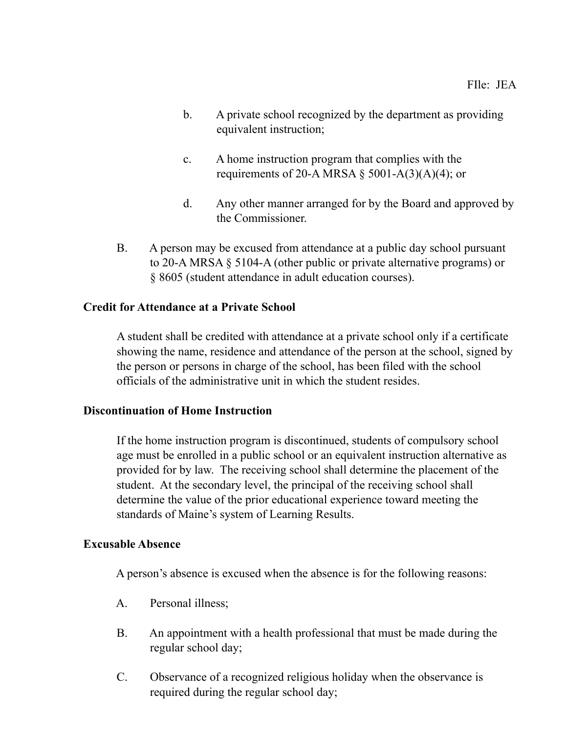- b. A private school recognized by the department as providing equivalent instruction;
- c. A home instruction program that complies with the requirements of 20-A MRSA  $\S$  5001-A(3)(A)(4); or
- d. Any other manner arranged for by the Board and approved by the Commissioner.
- B. A person may be excused from attendance at a public day school pursuant to 20-A MRSA § 5104-A (other public or private alternative programs) or § 8605 (student attendance in adult education courses).

# **Credit for Attendance at a Private School**

A student shall be credited with attendance at a private school only if a certificate showing the name, residence and attendance of the person at the school, signed by the person or persons in charge of the school, has been filed with the school officials of the administrative unit in which the student resides.

### **Discontinuation of Home Instruction**

If the home instruction program is discontinued, students of compulsory school age must be enrolled in a public school or an equivalent instruction alternative as provided for by law. The receiving school shall determine the placement of the student. At the secondary level, the principal of the receiving school shall determine the value of the prior educational experience toward meeting the standards of Maine's system of Learning Results.

### **Excusable Absence**

A person's absence is excused when the absence is for the following reasons:

- A. Personal illness;
- B. An appointment with a health professional that must be made during the regular school day;
- C. Observance of a recognized religious holiday when the observance is required during the regular school day;